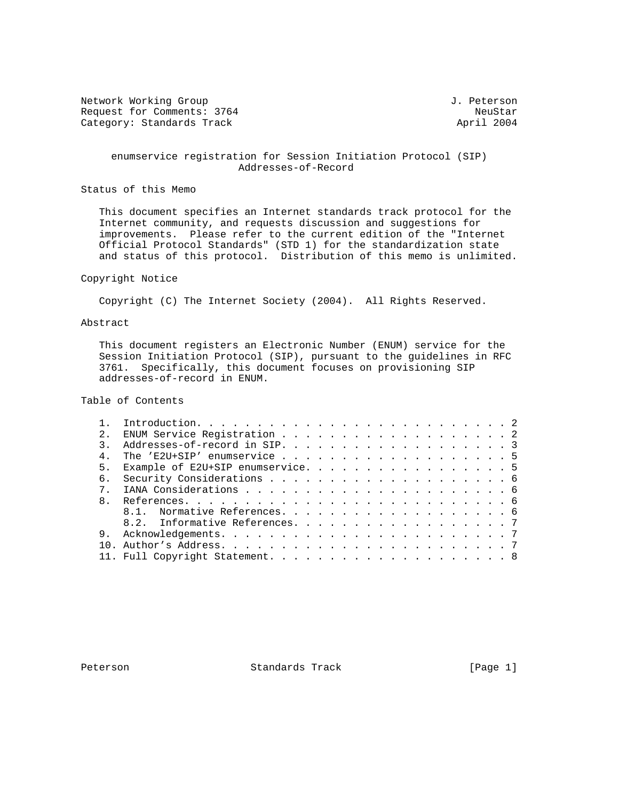Network Working Group 3. 2012 1. Peterson Request for Comments: 3764 NeuStar NeuStar NeuStar NeuStar NeuStar<br>Category: Standards Track News, 2004 Category: Standards Track

 enumservice registration for Session Initiation Protocol (SIP) Addresses-of-Record

Status of this Memo

 This document specifies an Internet standards track protocol for the Internet community, and requests discussion and suggestions for improvements. Please refer to the current edition of the "Internet Official Protocol Standards" (STD 1) for the standardization state and status of this protocol. Distribution of this memo is unlimited.

## Copyright Notice

Copyright (C) The Internet Society (2004). All Rights Reserved.

# Abstract

 This document registers an Electronic Number (ENUM) service for the Session Initiation Protocol (SIP), pursuant to the guidelines in RFC 3761. Specifically, this document focuses on provisioning SIP addresses-of-record in ENUM.

Table of Contents

| 2.           |                                   |  |
|--------------|-----------------------------------|--|
|              |                                   |  |
|              | The 'E2U+SIP' enumservice 5       |  |
| 5.           | Example of E2U+SIP enumservice. 5 |  |
| б.           |                                   |  |
|              |                                   |  |
| $\mathsf{R}$ |                                   |  |
|              | 8.1. Normative References. 6      |  |
|              | 8.2. Informative References. 7    |  |
| 9            |                                   |  |
|              |                                   |  |
|              |                                   |  |
|              |                                   |  |

Peterson Standards Track [Page 1]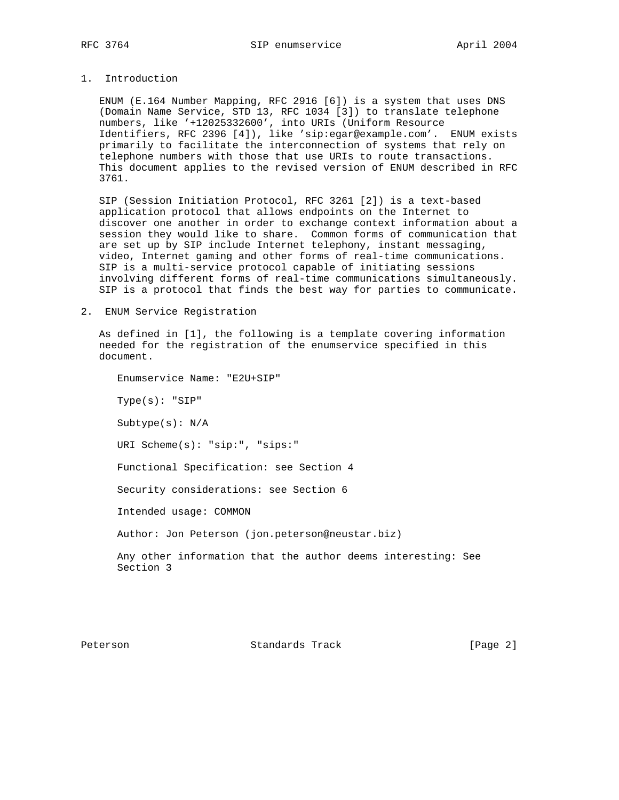# 1. Introduction

 ENUM (E.164 Number Mapping, RFC 2916 [6]) is a system that uses DNS (Domain Name Service, STD 13, RFC 1034 [3]) to translate telephone numbers, like '+12025332600', into URIs (Uniform Resource Identifiers, RFC 2396 [4]), like 'sip:egar@example.com'. ENUM exists primarily to facilitate the interconnection of systems that rely on telephone numbers with those that use URIs to route transactions. This document applies to the revised version of ENUM described in RFC 3761.

 SIP (Session Initiation Protocol, RFC 3261 [2]) is a text-based application protocol that allows endpoints on the Internet to discover one another in order to exchange context information about a session they would like to share. Common forms of communication that are set up by SIP include Internet telephony, instant messaging, video, Internet gaming and other forms of real-time communications. SIP is a multi-service protocol capable of initiating sessions involving different forms of real-time communications simultaneously. SIP is a protocol that finds the best way for parties to communicate.

2. ENUM Service Registration

 As defined in [1], the following is a template covering information needed for the registration of the enumservice specified in this document.

 Enumservice Name: "E2U+SIP" Type(s): "SIP" Subtype(s): N/A URI Scheme(s): "sip:", "sips:" Functional Specification: see Section 4 Security considerations: see Section 6 Intended usage: COMMON Author: Jon Peterson (jon.peterson@neustar.biz) Any other information that the author deems interesting: See Section 3

Peterson Standards Track [Page 2]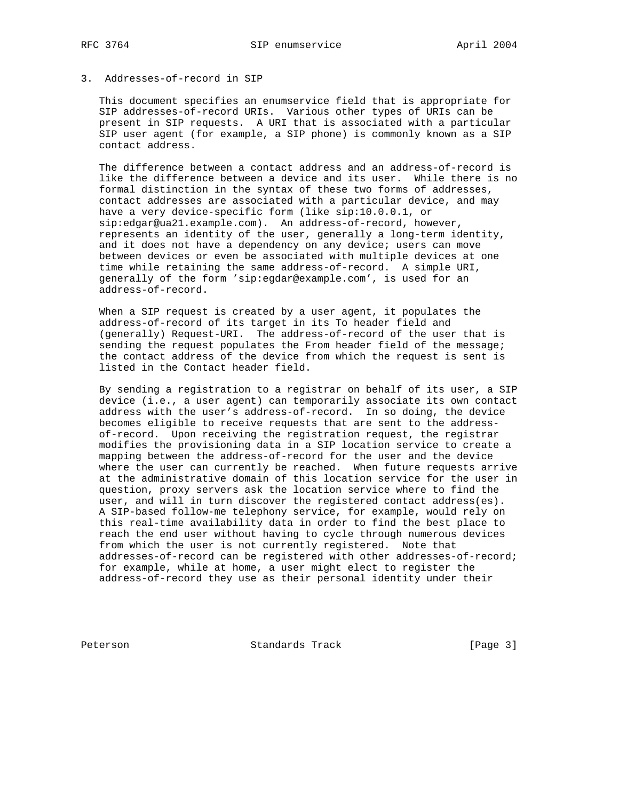#### 3. Addresses-of-record in SIP

 This document specifies an enumservice field that is appropriate for SIP addresses-of-record URIs. Various other types of URIs can be present in SIP requests. A URI that is associated with a particular SIP user agent (for example, a SIP phone) is commonly known as a SIP contact address.

 The difference between a contact address and an address-of-record is like the difference between a device and its user. While there is no formal distinction in the syntax of these two forms of addresses, contact addresses are associated with a particular device, and may have a very device-specific form (like sip:10.0.0.1, or sip:edgar@ua21.example.com). An address-of-record, however, represents an identity of the user, generally a long-term identity, and it does not have a dependency on any device; users can move between devices or even be associated with multiple devices at one time while retaining the same address-of-record. A simple URI, generally of the form 'sip:egdar@example.com', is used for an address-of-record.

 When a SIP request is created by a user agent, it populates the address-of-record of its target in its To header field and (generally) Request-URI. The address-of-record of the user that is sending the request populates the From header field of the message; the contact address of the device from which the request is sent is listed in the Contact header field.

 By sending a registration to a registrar on behalf of its user, a SIP device (i.e., a user agent) can temporarily associate its own contact address with the user's address-of-record. In so doing, the device becomes eligible to receive requests that are sent to the address of-record. Upon receiving the registration request, the registrar modifies the provisioning data in a SIP location service to create a mapping between the address-of-record for the user and the device where the user can currently be reached. When future requests arrive at the administrative domain of this location service for the user in question, proxy servers ask the location service where to find the user, and will in turn discover the registered contact address(es). A SIP-based follow-me telephony service, for example, would rely on this real-time availability data in order to find the best place to reach the end user without having to cycle through numerous devices from which the user is not currently registered. Note that addresses-of-record can be registered with other addresses-of-record; for example, while at home, a user might elect to register the address-of-record they use as their personal identity under their

Peterson Standards Track [Page 3]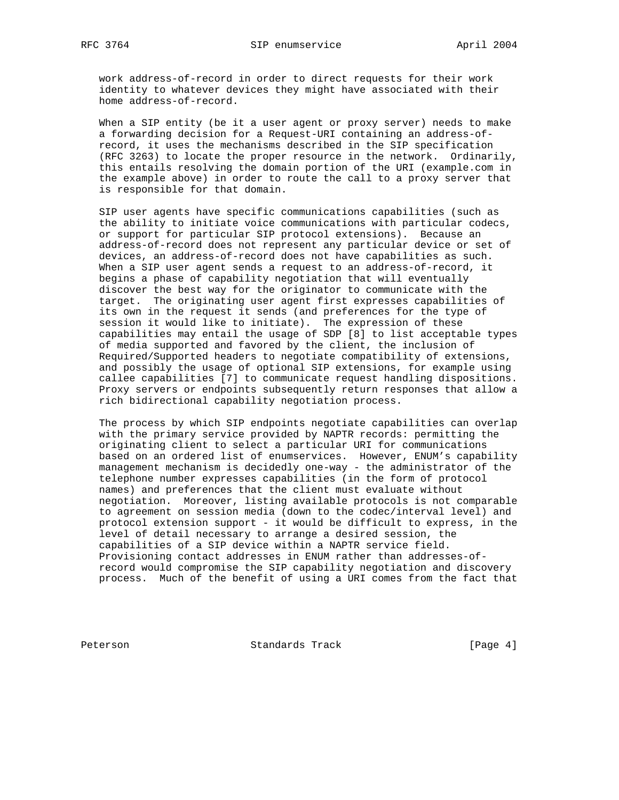work address-of-record in order to direct requests for their work identity to whatever devices they might have associated with their home address-of-record.

 When a SIP entity (be it a user agent or proxy server) needs to make a forwarding decision for a Request-URI containing an address-of record, it uses the mechanisms described in the SIP specification (RFC 3263) to locate the proper resource in the network. Ordinarily, this entails resolving the domain portion of the URI (example.com in the example above) in order to route the call to a proxy server that is responsible for that domain.

 SIP user agents have specific communications capabilities (such as the ability to initiate voice communications with particular codecs, or support for particular SIP protocol extensions). Because an address-of-record does not represent any particular device or set of devices, an address-of-record does not have capabilities as such. When a SIP user agent sends a request to an address-of-record, it begins a phase of capability negotiation that will eventually discover the best way for the originator to communicate with the target. The originating user agent first expresses capabilities of its own in the request it sends (and preferences for the type of session it would like to initiate). The expression of these capabilities may entail the usage of SDP [8] to list acceptable types of media supported and favored by the client, the inclusion of Required/Supported headers to negotiate compatibility of extensions, and possibly the usage of optional SIP extensions, for example using callee capabilities [7] to communicate request handling dispositions. Proxy servers or endpoints subsequently return responses that allow a rich bidirectional capability negotiation process.

 The process by which SIP endpoints negotiate capabilities can overlap with the primary service provided by NAPTR records: permitting the originating client to select a particular URI for communications based on an ordered list of enumservices. However, ENUM's capability management mechanism is decidedly one-way - the administrator of the telephone number expresses capabilities (in the form of protocol names) and preferences that the client must evaluate without negotiation. Moreover, listing available protocols is not comparable to agreement on session media (down to the codec/interval level) and protocol extension support - it would be difficult to express, in the level of detail necessary to arrange a desired session, the capabilities of a SIP device within a NAPTR service field. Provisioning contact addresses in ENUM rather than addresses-of record would compromise the SIP capability negotiation and discovery process. Much of the benefit of using a URI comes from the fact that

Peterson Standards Track [Page 4]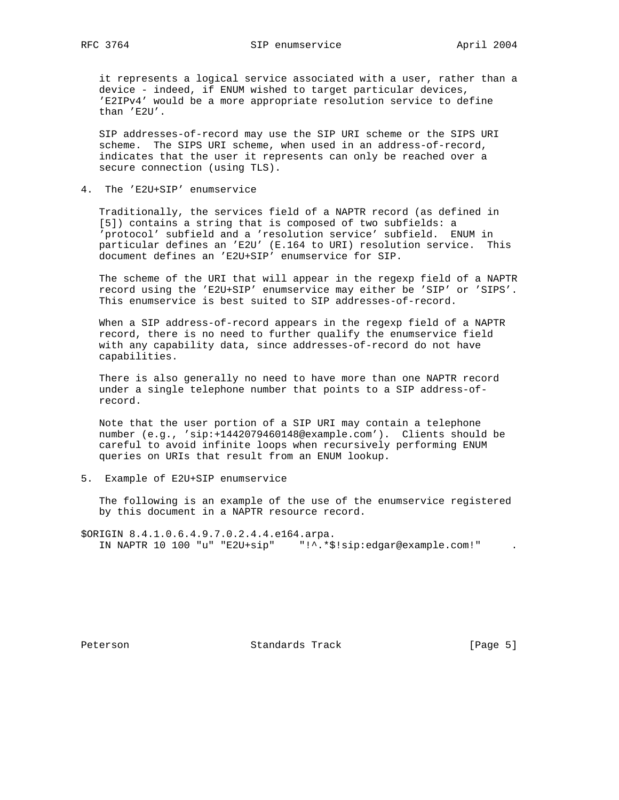it represents a logical service associated with a user, rather than a device - indeed, if ENUM wished to target particular devices, 'E2IPv4' would be a more appropriate resolution service to define than 'E2U'.

 SIP addresses-of-record may use the SIP URI scheme or the SIPS URI scheme. The SIPS URI scheme, when used in an address-of-record, indicates that the user it represents can only be reached over a secure connection (using TLS).

4. The 'E2U+SIP' enumservice

 Traditionally, the services field of a NAPTR record (as defined in [5]) contains a string that is composed of two subfields: a 'protocol' subfield and a 'resolution service' subfield. ENUM in particular defines an 'E2U' (E.164 to URI) resolution service. This document defines an 'E2U+SIP' enumservice for SIP.

 The scheme of the URI that will appear in the regexp field of a NAPTR record using the 'E2U+SIP' enumservice may either be 'SIP' or 'SIPS'. This enumservice is best suited to SIP addresses-of-record.

When a SIP address-of-record appears in the regexp field of a NAPTR record, there is no need to further qualify the enumservice field with any capability data, since addresses-of-record do not have capabilities.

 There is also generally no need to have more than one NAPTR record under a single telephone number that points to a SIP address-of record.

 Note that the user portion of a SIP URI may contain a telephone number (e.g., 'sip:+1442079460148@example.com'). Clients should be careful to avoid infinite loops when recursively performing ENUM queries on URIs that result from an ENUM lookup.

5. Example of E2U+SIP enumservice

 The following is an example of the use of the enumservice registered by this document in a NAPTR resource record.

\$ORIGIN 8.4.1.0.6.4.9.7.0.2.4.4.e164.arpa. IN NAPTR 10 100 "u" "E2U+sip" "!^.\*\$!sip:edgar@example.com!" .

Peterson Standards Track [Page 5]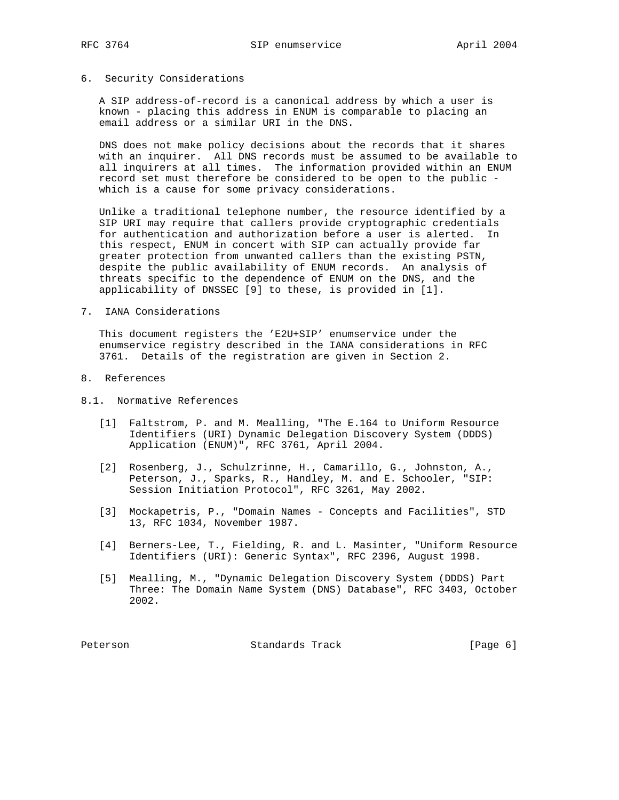## 6. Security Considerations

 A SIP address-of-record is a canonical address by which a user is known - placing this address in ENUM is comparable to placing an email address or a similar URI in the DNS.

 DNS does not make policy decisions about the records that it shares with an inquirer. All DNS records must be assumed to be available to all inquirers at all times. The information provided within an ENUM record set must therefore be considered to be open to the public which is a cause for some privacy considerations.

 Unlike a traditional telephone number, the resource identified by a SIP URI may require that callers provide cryptographic credentials for authentication and authorization before a user is alerted. In this respect, ENUM in concert with SIP can actually provide far greater protection from unwanted callers than the existing PSTN, despite the public availability of ENUM records. An analysis of threats specific to the dependence of ENUM on the DNS, and the applicability of DNSSEC [9] to these, is provided in [1].

7. IANA Considerations

 This document registers the 'E2U+SIP' enumservice under the enumservice registry described in the IANA considerations in RFC 3761. Details of the registration are given in Section 2.

- 8. References
- 8.1. Normative References
	- [1] Faltstrom, P. and M. Mealling, "The E.164 to Uniform Resource Identifiers (URI) Dynamic Delegation Discovery System (DDDS) Application (ENUM)", RFC 3761, April 2004.
	- [2] Rosenberg, J., Schulzrinne, H., Camarillo, G., Johnston, A., Peterson, J., Sparks, R., Handley, M. and E. Schooler, "SIP: Session Initiation Protocol", RFC 3261, May 2002.
	- [3] Mockapetris, P., "Domain Names Concepts and Facilities", STD 13, RFC 1034, November 1987.
	- [4] Berners-Lee, T., Fielding, R. and L. Masinter, "Uniform Resource Identifiers (URI): Generic Syntax", RFC 2396, August 1998.
	- [5] Mealling, M., "Dynamic Delegation Discovery System (DDDS) Part Three: The Domain Name System (DNS) Database", RFC 3403, October 2002.

Peterson Standards Track [Page 6]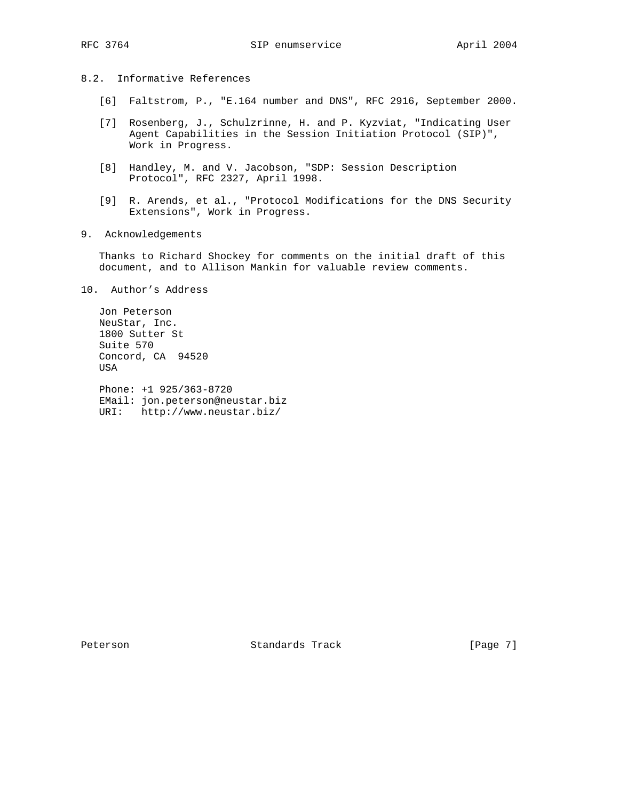# 8.2. Informative References

- [6] Faltstrom, P., "E.164 number and DNS", RFC 2916, September 2000.
- [7] Rosenberg, J., Schulzrinne, H. and P. Kyzviat, "Indicating User Agent Capabilities in the Session Initiation Protocol (SIP)", Work in Progress.
- [8] Handley, M. and V. Jacobson, "SDP: Session Description Protocol", RFC 2327, April 1998.
- [9] R. Arends, et al., "Protocol Modifications for the DNS Security Extensions", Work in Progress.
- 9. Acknowledgements

 Thanks to Richard Shockey for comments on the initial draft of this document, and to Allison Mankin for valuable review comments.

10. Author's Address

 Jon Peterson NeuStar, Inc. 1800 Sutter St Suite 570 Concord, CA 94520 USA

 Phone: +1 925/363-8720 EMail: jon.peterson@neustar.biz URI: http://www.neustar.biz/

Peterson Standards Track [Page 7]